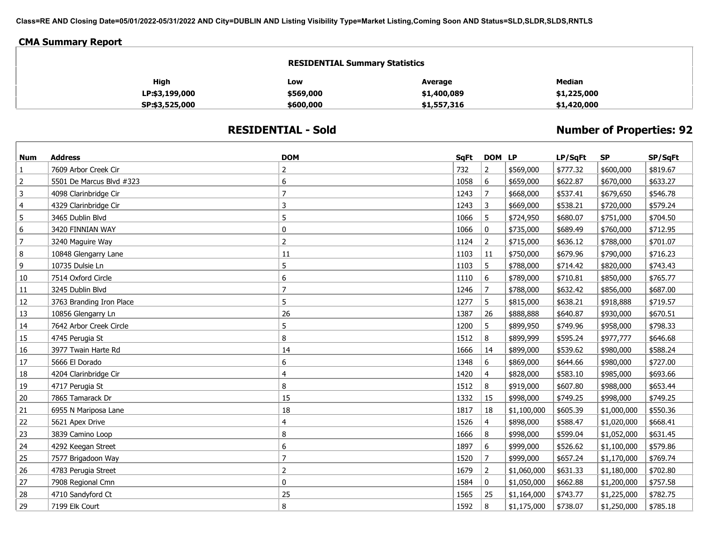**Class=RE AND Closing Date=05/01/2022-05/31/2022 AND City=DUBLIN AND Listing Visibility Type=Market Listing,Coming Soon AND Status=SLD,SLDR,SLDS,RNTLS**

## **CMA Summary Report**

| <b>RESIDENTIAL Summary Statistics</b> |           |             |               |  |  |  |  |
|---------------------------------------|-----------|-------------|---------------|--|--|--|--|
| High                                  | Low       | Average     | <b>Median</b> |  |  |  |  |
| LP:\$3,199,000                        | \$569,000 | \$1,400,089 | \$1,225,000   |  |  |  |  |
| SP:\$3,525,000                        | \$600,000 | \$1,557,316 | \$1,420,000   |  |  |  |  |

## **RESIDENTIAL - Sold**

## **Number of Properties: 92**

| <b>Num</b>     | <b>Address</b>           | <b>DOM</b>     | SqFt | DOM LP         |             | LP/SqFt  | <b>SP</b>   | SP/SqFt  |
|----------------|--------------------------|----------------|------|----------------|-------------|----------|-------------|----------|
| $\mathbf{1}$   | 7609 Arbor Creek Cir     | $\overline{2}$ | 732  | $\overline{2}$ | \$569,000   | \$777.32 | \$600,000   | \$819.67 |
| $\overline{2}$ | 5501 De Marcus Blvd #323 | 6              | 1058 | 6              | \$659,000   | \$622.87 | \$670,000   | \$633.27 |
| 3              | 4098 Clarinbridge Cir    |                | 1243 | $\overline{7}$ | \$668,000   | \$537.41 | \$679,650   | \$546.78 |
| $\overline{4}$ | 4329 Clarinbridge Cir    | 3              | 1243 | 3              | \$669,000   | \$538.21 | \$720,000   | \$579.24 |
| 5              | 3465 Dublin Blvd         | 5              | 1066 | 5              | \$724,950   | \$680.07 | \$751,000   | \$704.50 |
| 6              | 3420 FINNIAN WAY         | 0              | 1066 | $\mathbf 0$    | \$735,000   | \$689.49 | \$760,000   | \$712.95 |
| $\overline{7}$ | 3240 Maguire Way         | $\overline{2}$ | 1124 | $\overline{2}$ | \$715,000   | \$636.12 | \$788,000   | \$701.07 |
| 8              | 10848 Glengarry Lane     | 11             | 1103 | 11             | \$750,000   | \$679.96 | \$790,000   | \$716.23 |
| 9              | 10735 Dulsie Ln          | 5              | 1103 | 5              | \$788,000   | \$714.42 | \$820,000   | \$743.43 |
| 10             | 7514 Oxford Circle       | 6              | 1110 | 6              | \$789,000   | \$710.81 | \$850,000   | \$765.77 |
| 11             | 3245 Dublin Blvd         | $\overline{7}$ | 1246 | $\overline{7}$ | \$788,000   | \$632.42 | \$856,000   | \$687.00 |
| 12             | 3763 Branding Iron Place | 5              | 1277 | 5              | \$815,000   | \$638.21 | \$918,888   | \$719.57 |
| 13             | 10856 Glengarry Ln       | 26             | 1387 | 26             | \$888,888   | \$640.87 | \$930,000   | \$670.51 |
| 14             | 7642 Arbor Creek Circle  | 5              | 1200 | 5              | \$899,950   | \$749.96 | \$958,000   | \$798.33 |
| 15             | 4745 Perugia St          | 8              | 1512 | 8              | \$899,999   | \$595.24 | \$977,777   | \$646.68 |
| 16             | 3977 Twain Harte Rd      | 14             | 1666 | 14             | \$899,000   | \$539.62 | \$980,000   | \$588.24 |
| 17             | 5666 El Dorado           | 6              | 1348 | 6              | \$869,000   | \$644.66 | \$980,000   | \$727.00 |
| 18             | 4204 Clarinbridge Cir    | 4              | 1420 | $\overline{4}$ | \$828,000   | \$583.10 | \$985,000   | \$693.66 |
| 19             | 4717 Perugia St          | 8              | 1512 | 8              | \$919,000   | \$607.80 | \$988,000   | \$653.44 |
| 20             | 7865 Tamarack Dr         | 15             | 1332 | 15             | \$998,000   | \$749.25 | \$998,000   | \$749.25 |
| 21             | 6955 N Mariposa Lane     | 18             | 1817 | 18             | \$1,100,000 | \$605.39 | \$1,000,000 | \$550.36 |
| 22             | 5621 Apex Drive          | 4              | 1526 | $\overline{4}$ | \$898,000   | \$588.47 | \$1,020,000 | \$668.41 |
| 23             | 3839 Camino Loop         | 8              | 1666 | 8              | \$998,000   | \$599.04 | \$1,052,000 | \$631.45 |
| 24             | 4292 Keegan Street       | 6              | 1897 | 6              | \$999,000   | \$526.62 | \$1,100,000 | \$579.86 |
| 25             | 7577 Brigadoon Way       | $\overline{7}$ | 1520 | $\overline{7}$ | \$999,000   | \$657.24 | \$1,170,000 | \$769.74 |
| 26             | 4783 Perugia Street      | $\overline{2}$ | 1679 | $\overline{2}$ | \$1,060,000 | \$631.33 | \$1,180,000 | \$702.80 |
| 27             | 7908 Regional Cmn        | $\mathbf 0$    | 1584 | 0              | \$1,050,000 | \$662.88 | \$1,200,000 | \$757.58 |
| 28             | 4710 Sandyford Ct        | 25             | 1565 | 25             | \$1,164,000 | \$743.77 | \$1,225,000 | \$782.75 |
| 29             | 7199 Elk Court           | 8              | 1592 | 8              | \$1,175,000 | \$738.07 | \$1,250,000 | \$785.18 |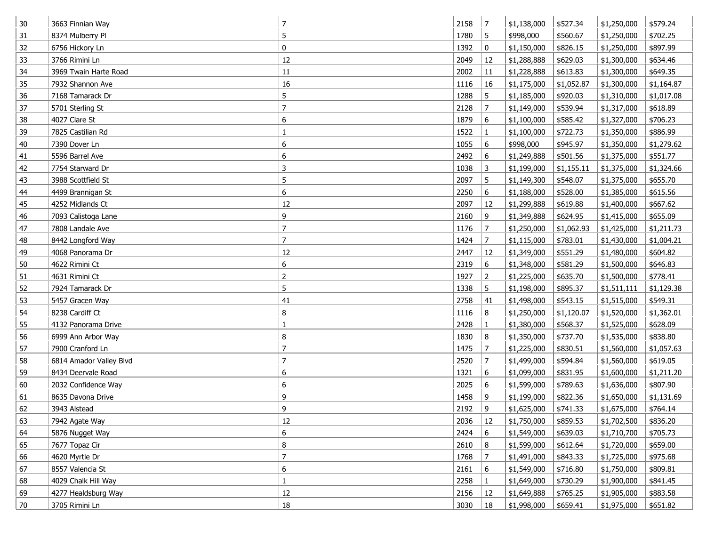| 30 | 3663 Finnian Way        | 7              | 2158 | 7              | \$1,138,000 | \$527.34   | \$1,250,000 | \$579.24   |
|----|-------------------------|----------------|------|----------------|-------------|------------|-------------|------------|
| 31 | 8374 Mulberry Pl        | 5              | 1780 | 5              | \$998,000   | \$560.67   | \$1,250,000 | \$702.25   |
| 32 | 6756 Hickory Ln         | $\mathbf 0$    | 1392 | 0              | \$1,150,000 | \$826.15   | \$1,250,000 | \$897.99   |
| 33 | 3766 Rimini Ln          | 12             | 2049 | 12             | \$1,288,888 | \$629.03   | \$1,300,000 | \$634.46   |
| 34 | 3969 Twain Harte Road   | 11             | 2002 | 11             | \$1,228,888 | \$613.83   | \$1,300,000 | \$649.35   |
| 35 | 7932 Shannon Ave        | 16             | 1116 | 16             | \$1,175,000 | \$1,052.87 | \$1,300,000 | \$1,164.87 |
| 36 | 7168 Tamarack Dr        | 5              | 1288 | 5              | \$1,185,000 | \$920.03   | \$1,310,000 | \$1,017.08 |
| 37 | 5701 Sterling St        | $\overline{7}$ | 2128 | $\overline{7}$ | \$1,149,000 | \$539.94   | \$1,317,000 | \$618.89   |
| 38 | 4027 Clare St           | 6              | 1879 | 6              | \$1,100,000 | \$585.42   | \$1,327,000 | \$706.23   |
| 39 | 7825 Castilian Rd       |                | 1522 | $\mathbf{1}$   | \$1,100,000 | \$722.73   | \$1,350,000 | \$886.99   |
| 40 | 7390 Dover Ln           | 6              | 1055 | 6              | \$998,000   | \$945.97   | \$1,350,000 | \$1,279.62 |
| 41 | 5596 Barrel Ave         | 6              | 2492 | 6              | \$1,249,888 | \$501.56   | \$1,375,000 | \$551.77   |
| 42 | 7754 Starward Dr        | 3              | 1038 | 3              | \$1,199,000 | \$1,155.11 | \$1,375,000 | \$1,324.66 |
| 43 | 3988 Scottfield St      | 5              | 2097 | 5              | \$1,149,300 | \$548.07   | \$1,375,000 | \$655.70   |
| 44 | 4499 Brannigan St       | 6              | 2250 | 6              | \$1,188,000 | \$528.00   | \$1,385,000 | \$615.56   |
| 45 | 4252 Midlands Ct        | 12             | 2097 | 12             | \$1,299,888 | \$619.88   | \$1,400,000 | \$667.62   |
| 46 | 7093 Calistoga Lane     | 9              | 2160 | 9              | \$1,349,888 | \$624.95   | \$1,415,000 | \$655.09   |
| 47 | 7808 Landale Ave        | $\overline{7}$ | 1176 | $\overline{7}$ | \$1,250,000 | \$1,062.93 | \$1,425,000 | \$1,211.73 |
| 48 | 8442 Longford Way       | $\overline{7}$ | 1424 | $\overline{7}$ | \$1,115,000 | \$783.01   | \$1,430,000 | \$1,004.21 |
| 49 | 4068 Panorama Dr        | 12             | 2447 | 12             | \$1,349,000 | \$551.29   | \$1,480,000 | \$604.82   |
| 50 | 4622 Rimini Ct          | 6              | 2319 | 6              | \$1,348,000 | \$581.29   | \$1,500,000 | \$646.83   |
| 51 | 4631 Rimini Ct          | $\overline{2}$ | 1927 | $\overline{2}$ | \$1,225,000 | \$635.70   | \$1,500,000 | \$778.41   |
| 52 | 7924 Tamarack Dr        | 5              | 1338 | 5              | \$1,198,000 | \$895.37   | \$1,511,111 | \$1,129.38 |
| 53 | 5457 Gracen Way         | 41             | 2758 | 41             | \$1,498,000 | \$543.15   | \$1,515,000 | \$549.31   |
| 54 | 8238 Cardiff Ct         | 8              | 1116 | 8              | \$1,250,000 | \$1,120.07 | \$1,520,000 | \$1,362.01 |
| 55 | 4132 Panorama Drive     |                | 2428 | $\mathbf{1}$   | \$1,380,000 | \$568.37   | \$1,525,000 | \$628.09   |
| 56 | 6999 Ann Arbor Way      | 8              | 1830 | 8              | \$1,350,000 | \$737.70   | \$1,535,000 | \$838.80   |
| 57 | 7900 Cranford Ln        | $\overline{7}$ | 1475 | $\overline{7}$ | \$1,225,000 | \$830.51   | \$1,560,000 | \$1,057.63 |
| 58 | 6814 Amador Valley Blvd | 7              | 2520 | 7              | \$1,499,000 | \$594.84   | \$1,560,000 | \$619.05   |
| 59 | 8434 Deervale Road      | 6              | 1321 | 6              | \$1,099,000 | \$831.95   | \$1,600,000 | \$1,211.20 |
| 60 | 2032 Confidence Way     | 6              | 2025 | 6              | \$1,599,000 | \$789.63   | \$1,636,000 | \$807.90   |
| 61 | 8635 Davona Drive       | 9              | 1458 | 9              | \$1,199,000 | \$822.36   | \$1,650,000 | \$1,131.69 |
| 62 | 3943 Alstead            | 9              | 2192 | 9              | \$1,625,000 | \$741.33   | \$1,675,000 | \$764.14   |
| 63 | 7942 Agate Way          | 12             | 2036 | 12             | \$1,750,000 | \$859.53   | \$1,702,500 | \$836.20   |
| 64 | 5876 Nugget Way         | 6              | 2424 | 6              | \$1,549,000 | \$639.03   | \$1,710,700 | \$705.73   |
| 65 | 7677 Topaz Cir          | 8              | 2610 | 8              | \$1,599,000 | \$612.64   | \$1,720,000 | \$659.00   |
| 66 | 4620 Myrtle Dr          | $\overline{7}$ | 1768 | $\overline{7}$ | \$1,491,000 | \$843.33   | \$1,725,000 | \$975.68   |
| 67 | 8557 Valencia St        | 6              | 2161 | 6              | \$1,549,000 | \$716.80   | \$1,750,000 | \$809.81   |
| 68 | 4029 Chalk Hill Way     | $\mathbf{1}$   | 2258 | $\mathbf{1}$   | \$1,649,000 | \$730.29   | \$1,900,000 | \$841.45   |
| 69 | 4277 Healdsburg Way     | $12\,$         | 2156 | 12             | \$1,649,888 | \$765.25   | \$1,905,000 | \$883.58   |
| 70 | 3705 Rimini Ln          | $18\,$         | 3030 | 18             | \$1,998,000 | \$659.41   | \$1,975,000 | \$651.82   |